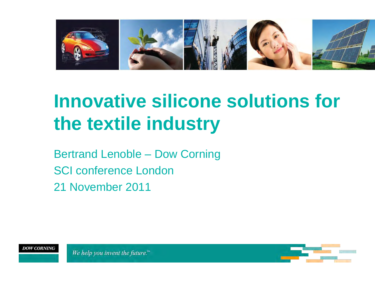

# **Innovative silicone solutions for the textile industry**

Bertrand Lenoble – Dow Corning SCI conference London 21 November 2011

**DOW CORNING**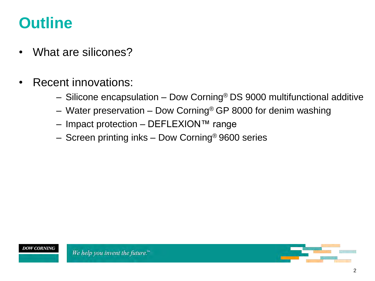### **Outline**

- What are silicones?
- Recent innovations:
	- Silicone encapsulation Dow Corning® DS 9000 multifunctional additive
	- Water preservation Dow Corning® GP 8000 for denim washing
	- $−$  Impact protection  $−$  DEFLEXION™ range
	- Screen printing inks Dow Corning® 9600 series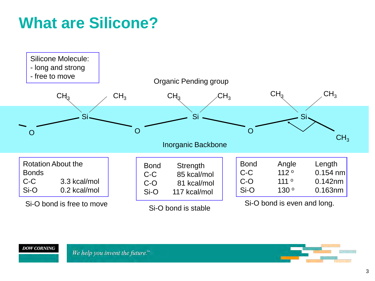### **What are Silicone?**



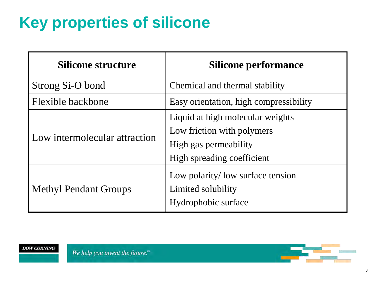## **Key properties of silicone**

| <b>Silicone structure</b>     | <b>Silicone performance</b>                                                                                           |
|-------------------------------|-----------------------------------------------------------------------------------------------------------------------|
| Strong Si-O bond              | Chemical and thermal stability                                                                                        |
| <b>Flexible backbone</b>      | Easy orientation, high compressibility                                                                                |
| Low intermolecular attraction | Liquid at high molecular weights<br>Low friction with polymers<br>High gas permeability<br>High spreading coefficient |
| <b>Methyl Pendant Groups</b>  | Low polarity/ low surface tension<br>Limited solubility<br>Hydrophobic surface                                        |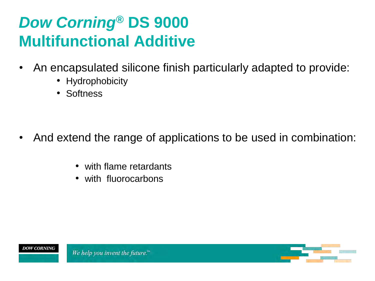### *Dow Corning***® DS 9000 Multifunctional Additive**

- An encapsulated silicone finish particularly adapted to provide:
	- Hydrophobicity
	- Softness

- And extend the range of applications to be used in combination:
	- with flame retardants
	- with fluorocarbons

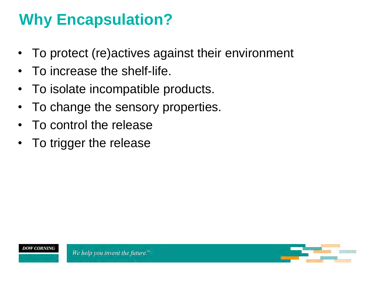### **Why Encapsulation?**

- To protect (re)actives against their environment
- To increase the shelf-life.
- To isolate incompatible products.
- To change the sensory properties.
- To control the release
- To trigger the release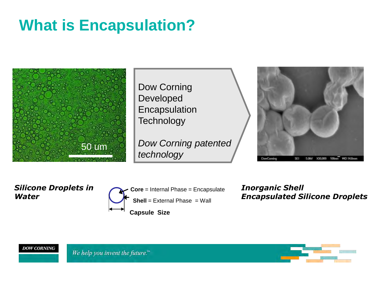### **What is Encapsulation?**



 Dow Corning Developed Encapsulation **Technology** 

*Dow Corning patented technology*



#### *Silicone Droplets in Water*



*Inorganic Shell Encapsulated Silicone Droplets* 





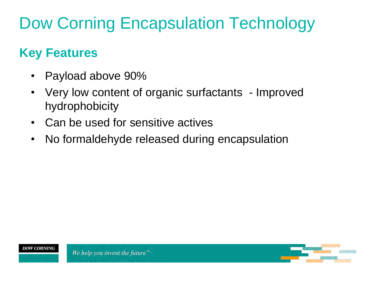## Dow Corning Encapsulation Technology

### **Key Features**

- Payload above 90%
- Very low content of organic surfactants Improved hydrophobicity
- Can be used for sensitive actives
- No formaldehyde released during encapsulation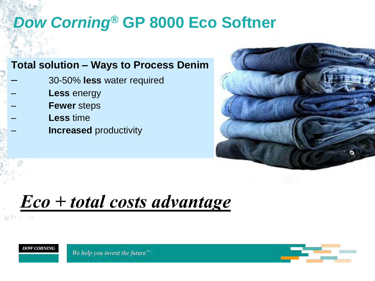### *Dow Corning®* **GP 8000 Eco Softner**

### **Total solution – Ways to Process Denim**

- 30-50% **less** water required
- – **Less** energy
- – **Fewer** steps
- **Less** time
	- **Increased** productivity



### *Eco + total costs advantage*

#### **DOW CORNING**

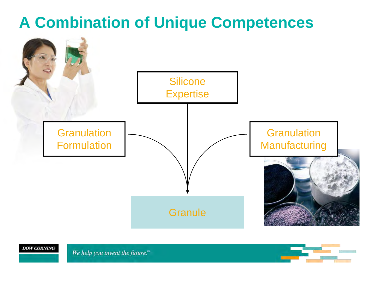### **A Combination of Unique Competences**





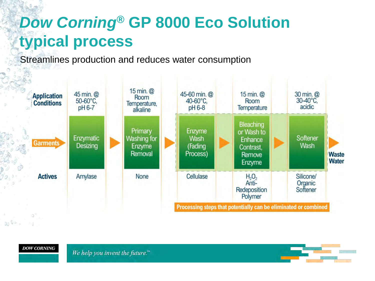## *Dow Corning®* **GP 8000 Eco Solution typical process**

Streamlines production and reduces water consumption



**DOW CORNING**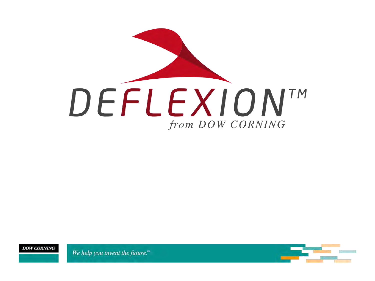

**DOW CORNING** 

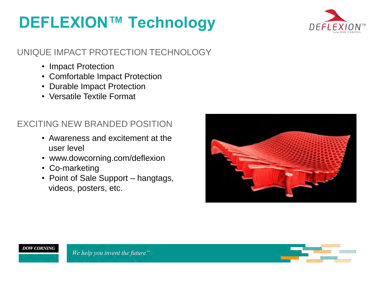### **DEFLEXION™ Technology**



#### UNIQUE IMPACT PROTECTION TECHNOLOGY

- Impact Protection
- Comfortable Impact Protection
- Durable Impact Protection
- Versatile Textile Format

### EXCITING NEW BRANDED POSITION

- Awareness and excitement at the user level
- www.dowcorning.com/deflexion
- Co-marketing
- Point of Sale Support hangtags, videos, posters, etc.

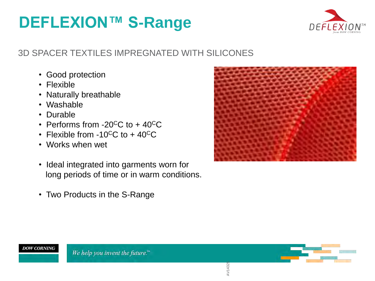### **DEFLEXION™ S-Range**



### 3D SPACER TEXTILES IMPREGNATED WITH SILICONES

- Good protection
- Flexible
- Naturally breathable
- Washable
- Durable
- Performs from -20 $\rm ^{C}C$  to + 40 $\rm ^{C}C$
- Flexible from  $-10^{\circ}$ C to  $+40^{\circ}$ C
- Works when wet
- Ideal integrated into garments worn for long periods of time or in warm conditions.
- Two Products in the S-Range





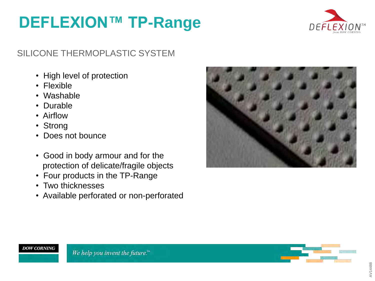### **DEFLEXION™ TP-Range**



### SILICONE THERMOPLASTIC SYSTEM

- High level of protection
- Flexible
- Washable
- Durable
- Airflow
- Strong
- Does not bounce
- Good in body armour and for the protection of delicate/fragile objects
- Four products in the TP-Range
- Two thicknesses
- Available perforated or non-perforated





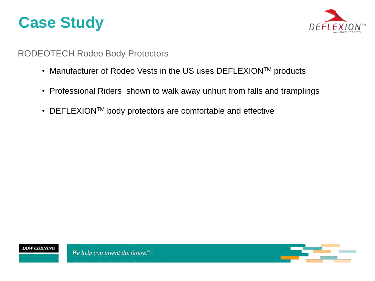### **Case Study**



RODEOTECH Rodeo Body Protectors

- Manufacturer of Rodeo Vests in the US uses DEFLEXION<sup>TM</sup> products
- Professional Riders shown to walk away unhurt from falls and tramplings
- DEFLEXION<sup>TM</sup> body protectors are comfortable and effective

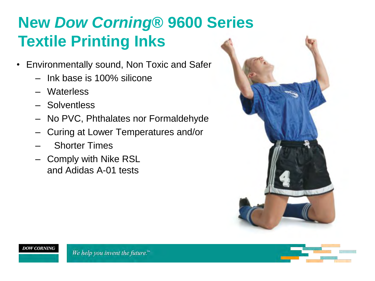## **New** *Dow Corning***® 9600 Series Textile Printing Inks**

- Environmentally sound, Non Toxic and Safer
	- Ink base is 100% silicone
	- Waterless
	- Solventless
	- No PVC, Phthalates nor Formaldehyde
	- Curing at Lower Temperatures and/or
	- **Shorter Times**
	- Comply with Nike RSL and Adidas A-01 tests



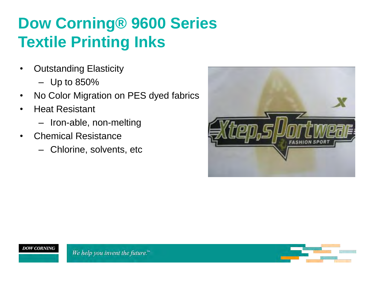### **Dow Corning® 9600 Series Textile Printing Inks**

- Outstanding Elasticity
	- Up to 850%
- No Color Migration on PES dyed fabrics
- Heat Resistant
	- Iron-able, non-melting
- Chemical Resistance
	- Chlorine, solvents, etc

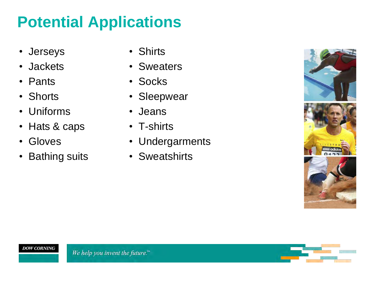## **Potential Applications**

- Jerseys
- Jackets
- Pants
- Shorts
- Uniforms
- Hats & caps
- Gloves
- Bathing suits
- Shirts
- Sweaters
- Socks
- Sleepwear
- Jeans
- T-shirts
- Undergarments
- Sweatshirts





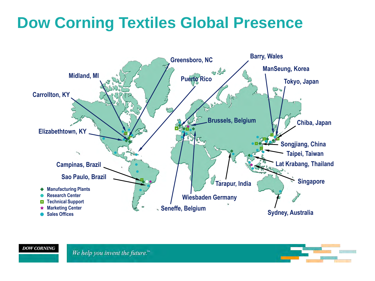### **Dow Corning Textiles Global Presence**